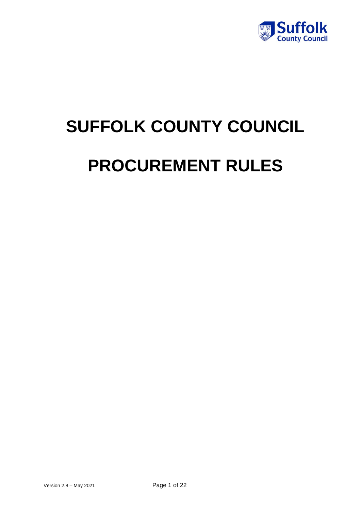

# **SUFFOLK COUNTY COUNCIL PROCUREMENT RULES**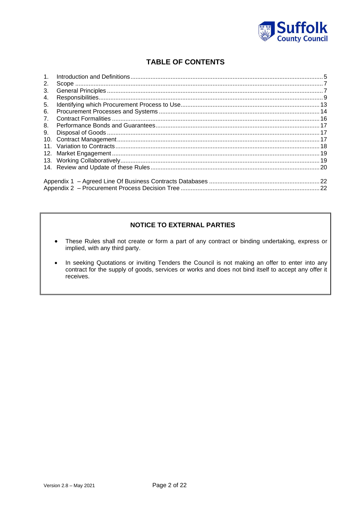

# **TABLE OF CONTENTS**

| $\mathbf{1}$ .  |  |  |  |  |
|-----------------|--|--|--|--|
| 2.              |  |  |  |  |
| 3.              |  |  |  |  |
| 4.              |  |  |  |  |
| 5.              |  |  |  |  |
| 6.              |  |  |  |  |
| 7.              |  |  |  |  |
| 8.              |  |  |  |  |
| 9.              |  |  |  |  |
|                 |  |  |  |  |
| 11 <sub>1</sub> |  |  |  |  |
|                 |  |  |  |  |
|                 |  |  |  |  |
|                 |  |  |  |  |
|                 |  |  |  |  |
|                 |  |  |  |  |
|                 |  |  |  |  |

# **NOTICE TO EXTERNAL PARTIES**

- These Rules shall not create or form a part of any contract or binding undertaking, express or  $\bullet$ implied, with any third party.
- In seeking Quotations or inviting Tenders the Council is not making an offer to enter into any contract for the supply of goods, services or works and does not bind itself to accept any offer it  $\bullet$ receives.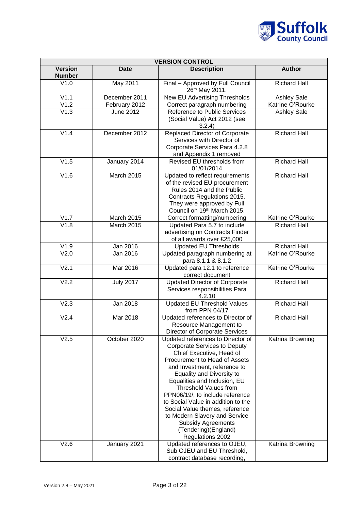

| <b>VERSION CONTROL</b>          |                   |                                                                                                                                                                                                                                                                                                                                                                                                                                                                                                 |                     |  |  |
|---------------------------------|-------------------|-------------------------------------------------------------------------------------------------------------------------------------------------------------------------------------------------------------------------------------------------------------------------------------------------------------------------------------------------------------------------------------------------------------------------------------------------------------------------------------------------|---------------------|--|--|
| <b>Version</b><br><b>Number</b> | <b>Date</b>       | <b>Description</b>                                                                                                                                                                                                                                                                                                                                                                                                                                                                              | <b>Author</b>       |  |  |
| V1.0                            | May 2011          | Final - Approved by Full Council<br>26th May 2011.                                                                                                                                                                                                                                                                                                                                                                                                                                              | <b>Richard Hall</b> |  |  |
| V1.1                            | December 2011     | New EU Advertising Thresholds                                                                                                                                                                                                                                                                                                                                                                                                                                                                   | <b>Ashley Sale</b>  |  |  |
| V1.2                            | February 2012     | Correct paragraph numbering                                                                                                                                                                                                                                                                                                                                                                                                                                                                     | Katrine O'Rourke    |  |  |
| V1.3                            | <b>June 2012</b>  | Reference to Public Services<br>(Social Value) Act 2012 (see<br>3.2.4)                                                                                                                                                                                                                                                                                                                                                                                                                          | <b>Ashley Sale</b>  |  |  |
| V1.4                            | December 2012     | <b>Replaced Director of Corporate</b><br>Services with Director of<br>Corporate Services Para 4.2.8<br>and Appendix 1 removed                                                                                                                                                                                                                                                                                                                                                                   | <b>Richard Hall</b> |  |  |
| V1.5                            | January 2014      | Revised EU thresholds from<br>01/01/2014                                                                                                                                                                                                                                                                                                                                                                                                                                                        | <b>Richard Hall</b> |  |  |
| V1.6                            | <b>March 2015</b> | Updated to reflect requirements<br>of the revised EU procurement<br>Rules 2014 and the Public<br>Contracts Regulations 2015.<br>They were approved by Full<br>Council on 19th March 2015.                                                                                                                                                                                                                                                                                                       | <b>Richard Hall</b> |  |  |
| V1.7                            | March 2015        | Correct formatting/numbering                                                                                                                                                                                                                                                                                                                                                                                                                                                                    | Katrine O'Rourke    |  |  |
| V1.8                            | March 2015        | Updated Para 5.7 to include<br>advertising on Contracts Finder<br>of all awards over £25,000                                                                                                                                                                                                                                                                                                                                                                                                    | <b>Richard Hall</b> |  |  |
| V1.9                            | Jan 2016          | <b>Updated EU Thresholds</b>                                                                                                                                                                                                                                                                                                                                                                                                                                                                    | <b>Richard Hall</b> |  |  |
| V <sub>2.0</sub>                | Jan 2016          | Updated paragraph numbering at<br>para 8.1.1 & 8.1.2                                                                                                                                                                                                                                                                                                                                                                                                                                            | Katrine O'Rourke    |  |  |
| V <sub>2.1</sub>                | <b>Mar 2016</b>   | Updated para 12.1 to reference<br>correct document                                                                                                                                                                                                                                                                                                                                                                                                                                              | Katrine O'Rourke    |  |  |
| V2.2                            | <b>July 2017</b>  | <b>Updated Director of Corporate</b><br>Services responsibilities Para<br>4.2.10                                                                                                                                                                                                                                                                                                                                                                                                                | <b>Richard Hall</b> |  |  |
| V <sub>2.3</sub>                | Jan 2018          | <b>Updated EU Threshold Values</b><br>from PPN 04/17                                                                                                                                                                                                                                                                                                                                                                                                                                            | <b>Richard Hall</b> |  |  |
| V2.4                            | Mar 2018          | Updated references to Director of<br>Resource Management to<br>Director of Corporate Services                                                                                                                                                                                                                                                                                                                                                                                                   | <b>Richard Hall</b> |  |  |
| V2.5                            | October 2020      | Updated references to Director of<br><b>Corporate Services to Deputy</b><br>Chief Executive, Head of<br>Procurement to Head of Assets<br>and Investment, reference to<br><b>Equality and Diversity to</b><br>Equalities and Inclusion, EU<br><b>Threshold Values from</b><br>PPN06/19/, to include reference<br>to Social Value in addition to the<br>Social Value themes, reference<br>to Modern Slavery and Service<br><b>Subsidy Agreements</b><br>(Tendering) (England)<br>Regulations 2002 | Katrina Browning    |  |  |
| V2.6                            | January 2021      | Updated references to OJEU,<br>Sub OJEU and EU Threshold,<br>contract database recording,                                                                                                                                                                                                                                                                                                                                                                                                       | Katrina Browning    |  |  |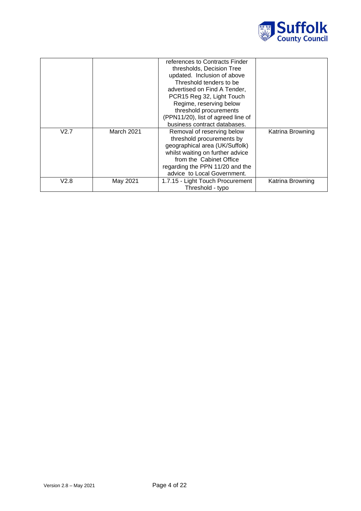

|      |                   | references to Contracts Finder<br>thresholds, Decision Tree |                  |
|------|-------------------|-------------------------------------------------------------|------------------|
|      |                   | updated. Inclusion of above                                 |                  |
|      |                   | Threshold tenders to be                                     |                  |
|      |                   | advertised on Find A Tender,                                |                  |
|      |                   | PCR15 Reg 32, Light Touch                                   |                  |
|      |                   | Regime, reserving below                                     |                  |
|      |                   | threshold procurements                                      |                  |
|      |                   | (PPN11/20), list of agreed line of                          |                  |
|      |                   | business contract databases.                                |                  |
| V2.7 | <b>March 2021</b> | Removal of reserving below                                  | Katrina Browning |
|      |                   | threshold procurements by                                   |                  |
|      |                   | geographical area (UK/Suffolk)                              |                  |
|      |                   | whilst waiting on further advice                            |                  |
|      |                   | from the Cabinet Office                                     |                  |
|      |                   | regarding the PPN 11/20 and the                             |                  |
|      |                   | advice to Local Government.                                 |                  |
| V2.8 | May 2021          | 1.7.15 - Light Touch Procurement                            | Katrina Browning |
|      |                   | Threshold - typo                                            |                  |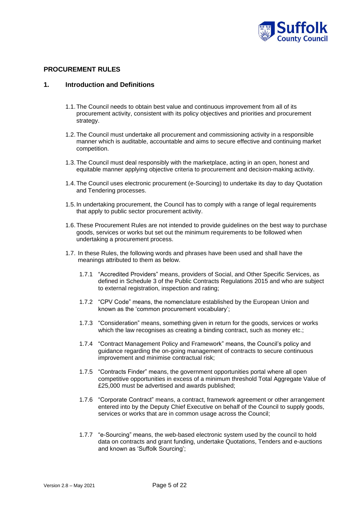

# **PROCUREMENT RULES**

# <span id="page-4-0"></span>**1. Introduction and Definitions**

- 1.1.The Council needs to obtain best value and continuous improvement from all of its procurement activity, consistent with its policy objectives and priorities and procurement strategy.
- 1.2.The Council must undertake all procurement and commissioning activity in a responsible manner which is auditable, accountable and aims to secure effective and continuing market competition.
- 1.3.The Council must deal responsibly with the marketplace, acting in an open, honest and equitable manner applying objective criteria to procurement and decision-making activity.
- 1.4.The Council uses electronic procurement (e-Sourcing) to undertake its day to day Quotation and Tendering processes.
- 1.5. In undertaking procurement, the Council has to comply with a range of legal requirements that apply to public sector procurement activity.
- 1.6.These Procurement Rules are not intended to provide guidelines on the best way to purchase goods, services or works but set out the minimum requirements to be followed when undertaking a procurement process.
- 1.7. In these Rules, the following words and phrases have been used and shall have the meanings attributed to them as below.
	- 1.7.1 "Accredited Providers" means, providers of Social, and Other Specific Services, as defined in Schedule 3 of the Public Contracts Regulations 2015 and who are subject to external registration, inspection and rating;
	- 1.7.2 "CPV Code" means, the nomenclature established by the European Union and known as the 'common procurement vocabulary';
	- 1.7.3 "Consideration" means, something given in return for the goods, services or works which the law recognises as creating a binding contract, such as money etc.;
	- 1.7.4 "Contract Management Policy and Framework" means, the Council's policy and guidance regarding the on-going management of contracts to secure continuous improvement and minimise contractual risk;
	- 1.7.5 "Contracts Finder" means, the government opportunities portal where all open competitive opportunities in excess of a minimum threshold Total Aggregate Value of £25,000 must be advertised and awards published;
	- 1.7.6 "Corporate Contract" means, a contract, framework agreement or other arrangement entered into by the Deputy Chief Executive on behalf of the Council to supply goods, services or works that are in common usage across the Council;
	- 1.7.7 "e-Sourcing" means, the web-based electronic system used by the council to hold data on contracts and grant funding, undertake Quotations, Tenders and e-auctions and known as 'Suffolk Sourcing';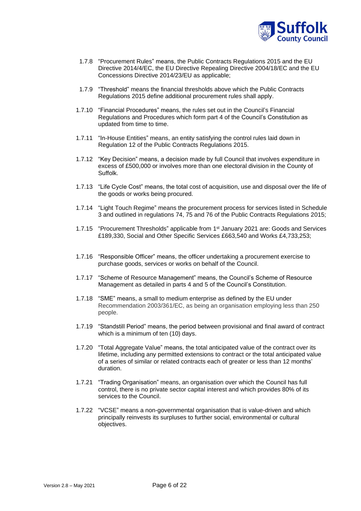

- 1.7.8 "Procurement Rules" means, the Public Contracts Regulations 2015 and the EU Directive 2014/4/EC, the EU Directive Repealing Directive 2004/18/EC and the EU Concessions Directive 2014/23/EU as applicable;
- 1.7.9 "Threshold" means the financial thresholds above which the Public Contracts Regulations 2015 define additional procurement rules shall apply.
- 1.7.10 "Financial Procedures" means, the rules set out in the Council's Financial Regulations and Procedures which form part 4 of the Council's Constitution as updated from time to time.
- 1.7.11 "In-House Entities" means, an entity satisfying the control rules laid down in Regulation 12 of the Public Contracts Regulations 2015.
- 1.7.12 "Key Decision" means, a decision made by full Council that involves expenditure in excess of £500,000 or involves more than one electoral division in the County of Suffolk.
- 1.7.13 "Life Cycle Cost" means, the total cost of acquisition, use and disposal over the life of the goods or works being procured.
- 1.7.14 "Light Touch Regime" means the procurement process for services listed in Schedule 3 and outlined in regulations 74, 75 and 76 of the Public Contracts Regulations 2015;
- 1.7.15 "Procurement Thresholds" applicable from 1st January 2021 are: Goods and Services £189,330, Social and Other Specific Services £663,540 and Works £4,733,253;
- 1.7.16 "Responsible Officer" means, the officer undertaking a procurement exercise to purchase goods, services or works on behalf of the Council.
- 1.7.17 "Scheme of Resource Management" means, the Council's Scheme of Resource Management as detailed in parts 4 and 5 of the Council's Constitution.
- 1.7.18 "SME" means, a small to medium enterprise as defined by the EU under Recommendation 2003/361/EC, as being an organisation employing less than 250 people.
- 1.7.19 "Standstill Period" means, the period between provisional and final award of contract which is a minimum of ten (10) days.
- 1.7.20 "Total Aggregate Value" means, the total anticipated value of the contract over its lifetime, including any permitted extensions to contract or the total anticipated value of a series of similar or related contracts each of greater or less than 12 months' duration.
- 1.7.21 "Trading Organisation" means, an organisation over which the Council has full control, there is no private sector capital interest and which provides 80% of its services to the Council.
- 1.7.22 "VCSE" means a non-governmental organisation that is value-driven and which principally reinvests its surpluses to further social, environmental or cultural objectives.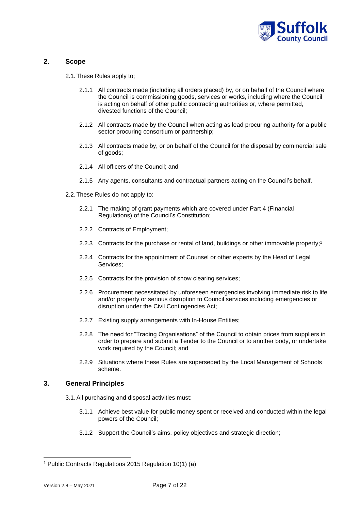

# <span id="page-6-0"></span>**2. Scope**

2.1.These Rules apply to;

- 2.1.1 All contracts made (including all orders placed) by, or on behalf of the Council where the Council is commissioning goods, services or works, including where the Council is acting on behalf of other public contracting authorities or, where permitted, divested functions of the Council;
- 2.1.2 All contracts made by the Council when acting as lead procuring authority for a public sector procuring consortium or partnership;
- 2.1.3 All contracts made by, or on behalf of the Council for the disposal by commercial sale of goods;
- 2.1.4 All officers of the Council; and
- 2.1.5 Any agents, consultants and contractual partners acting on the Council's behalf.
- 2.2.These Rules do not apply to:
	- 2.2.1 The making of grant payments which are covered under Part 4 (Financial Regulations) of the Council's Constitution;
	- 2.2.2 Contracts of Employment;
	- 2.2.3 Contracts for the purchase or rental of land, buildings or other immovable property; 1
	- 2.2.4 Contracts for the appointment of Counsel or other experts by the Head of Legal Services;
	- 2.2.5 Contracts for the provision of snow clearing services;
	- 2.2.6 Procurement necessitated by unforeseen emergencies involving immediate risk to life and/or property or serious disruption to Council services including emergencies or disruption under the Civil Contingencies Act;
	- 2.2.7 Existing supply arrangements with In-House Entities;
	- 2.2.8 The need for "Trading Organisations" of the Council to obtain prices from suppliers in order to prepare and submit a Tender to the Council or to another body, or undertake work required by the Council; and
	- 2.2.9 Situations where these Rules are superseded by the Local Management of Schools scheme.

# <span id="page-6-1"></span>**3. General Principles**

- 3.1.All purchasing and disposal activities must:
	- 3.1.1 Achieve best value for public money spent or received and conducted within the legal powers of the Council;
	- 3.1.2 Support the Council's aims, policy objectives and strategic direction;

<sup>1</sup> Public Contracts Regulations 2015 Regulation 10(1) (a)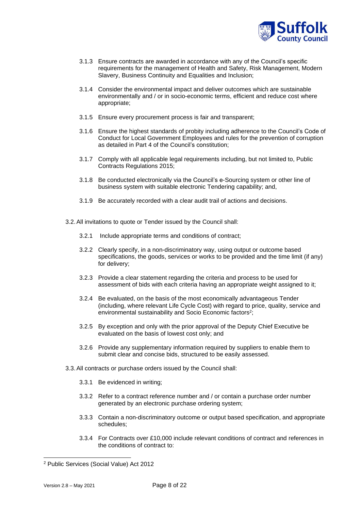

- 3.1.3 Ensure contracts are awarded in accordance with any of the Council's specific requirements for the management of Health and Safety, Risk Management, Modern Slavery, Business Continuity and Equalities and Inclusion;
- 3.1.4 Consider the environmental impact and deliver outcomes which are sustainable environmentally and / or in socio-economic terms, efficient and reduce cost where appropriate;
- 3.1.5 Ensure every procurement process is fair and transparent;
- 3.1.6 Ensure the highest standards of probity including adherence to the Council's Code of Conduct for Local Government Employees and rules for the prevention of corruption as detailed in Part 4 of the Council's constitution;
- 3.1.7 Comply with all applicable legal requirements including, but not limited to, Public Contracts Regulations 2015;
- 3.1.8 Be conducted electronically via the Council's e-Sourcing system or other line of business system with suitable electronic Tendering capability; and,
- 3.1.9 Be accurately recorded with a clear audit trail of actions and decisions.
- 3.2.All invitations to quote or Tender issued by the Council shall:
	- 3.2.1 Include appropriate terms and conditions of contract;
	- 3.2.2 Clearly specify, in a non-discriminatory way, using output or outcome based specifications, the goods, services or works to be provided and the time limit (if any) for delivery;
	- 3.2.3 Provide a clear statement regarding the criteria and process to be used for assessment of bids with each criteria having an appropriate weight assigned to it;
	- 3.2.4 Be evaluated, on the basis of the most economically advantageous Tender (including, where relevant Life Cycle Cost) with regard to price, quality, service and environmental sustainability and Socio Economic factors<sup>2</sup>;
	- 3.2.5 By exception and only with the prior approval of the Deputy Chief Executive be evaluated on the basis of lowest cost only; and
	- 3.2.6 Provide any supplementary information required by suppliers to enable them to submit clear and concise bids, structured to be easily assessed.
- 3.3.All contracts or purchase orders issued by the Council shall:
	- 3.3.1 Be evidenced in writing;
	- 3.3.2 Refer to a contract reference number and / or contain a purchase order number generated by an electronic purchase ordering system;
	- 3.3.3 Contain a non-discriminatory outcome or output based specification, and appropriate schedules;
	- 3.3.4 For Contracts over £10,000 include relevant conditions of contract and references in the conditions of contract to:

<sup>2</sup> Public Services (Social Value) Act 2012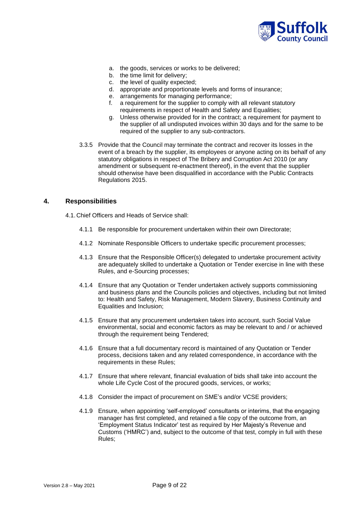

- a. the goods, services or works to be delivered;
- b. the time limit for delivery;
- c. the level of quality expected;
- d. appropriate and proportionate levels and forms of insurance;
- e. arrangements for managing performance;
- f. a requirement for the supplier to comply with all relevant statutory requirements in respect of Health and Safety and Equalities;
- g. Unless otherwise provided for in the contract; a requirement for payment to the supplier of all undisputed invoices within 30 days and for the same to be required of the supplier to any sub-contractors.
- 3.3.5 Provide that the Council may terminate the contract and recover its losses in the event of a breach by the supplier, its employees or anyone acting on its behalf of any statutory obligations in respect of The Bribery and Corruption Act 2010 (or any amendment or subsequent re-enactment thereof), in the event that the supplier should otherwise have been disqualified in accordance with the Public Contracts Regulations 2015.

## <span id="page-8-0"></span>**4. Responsibilities**

4.1. Chief Officers and Heads of Service shall:

- 4.1.1 Be responsible for procurement undertaken within their own Directorate;
- 4.1.2 Nominate Responsible Officers to undertake specific procurement processes;
- 4.1.3 Ensure that the Responsible Officer(s) delegated to undertake procurement activity are adequately skilled to undertake a Quotation or Tender exercise in line with these Rules, and e-Sourcing processes;
- 4.1.4 Ensure that any Quotation or Tender undertaken actively supports commissioning and business plans and the Councils policies and objectives, including but not limited to: Health and Safety, Risk Management, Modern Slavery, Business Continuity and Equalities and Inclusion;
- 4.1.5 Ensure that any procurement undertaken takes into account, such Social Value environmental, social and economic factors as may be relevant to and / or achieved through the requirement being Tendered;
- 4.1.6 Ensure that a full documentary record is maintained of any Quotation or Tender process, decisions taken and any related correspondence, in accordance with the requirements in these Rules;
- 4.1.7 Ensure that where relevant, financial evaluation of bids shall take into account the whole Life Cycle Cost of the procured goods, services, or works;
- 4.1.8 Consider the impact of procurement on SME's and/or VCSE providers;
- 4.1.9 Ensure, when appointing 'self-employed' consultants or interims, that the engaging manager has first completed, and retained a file copy of the outcome from, an 'Employment Status Indicator' test as required by Her Majesty's Revenue and Customs ('HMRC') and, subject to the outcome of that test, comply in full with these Rules;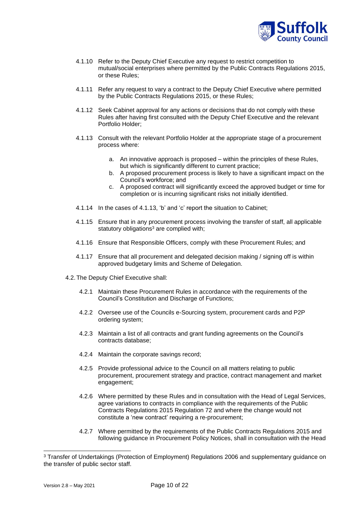

- 4.1.10 Refer to the Deputy Chief Executive any request to restrict competition to mutual/social enterprises where permitted by the Public Contracts Regulations 2015, or these Rules;
- 4.1.11 Refer any request to vary a contract to the Deputy Chief Executive where permitted by the Public Contracts Regulations 2015, or these Rules;
- 4.1.12 Seek Cabinet approval for any actions or decisions that do not comply with these Rules after having first consulted with the Deputy Chief Executive and the relevant Portfolio Holder;
- 4.1.13 Consult with the relevant Portfolio Holder at the appropriate stage of a procurement process where:
	- a. An innovative approach is proposed within the principles of these Rules, but which is significantly different to current practice;
	- b. A proposed procurement process is likely to have a significant impact on the Council's workforce; and
	- c. A proposed contract will significantly exceed the approved budget or time for completion or is incurring significant risks not initially identified.
- 4.1.14 In the cases of 4.1.13, 'b' and 'c' report the situation to Cabinet;
- 4.1.15 Ensure that in any procurement process involving the transfer of staff, all applicable statutory obligations<sup>3</sup> are complied with:
- 4.1.16 Ensure that Responsible Officers, comply with these Procurement Rules; and
- 4.1.17 Ensure that all procurement and delegated decision making / signing off is within approved budgetary limits and Scheme of Delegation.
- 4.2.The Deputy Chief Executive shall:
	- 4.2.1 Maintain these Procurement Rules in accordance with the requirements of the Council's Constitution and Discharge of Functions;
	- 4.2.2 Oversee use of the Councils e-Sourcing system, procurement cards and P2P ordering system;
	- 4.2.3 Maintain a list of all contracts and grant funding agreements on the Council's contracts database;
	- 4.2.4 Maintain the corporate savings record;
	- 4.2.5 Provide professional advice to the Council on all matters relating to public procurement, procurement strategy and practice, contract management and market engagement;
	- 4.2.6 Where permitted by these Rules and in consultation with the Head of Legal Services, agree variations to contracts in compliance with the requirements of the Public Contracts Regulations 2015 Regulation 72 and where the change would not constitute a 'new contract' requiring a re-procurement;
	- 4.2.7 Where permitted by the requirements of the Public Contracts Regulations 2015 and following guidance in Procurement Policy Notices, shall in consultation with the Head

<sup>3</sup> Transfer of Undertakings (Protection of Employment) Regulations 2006 and supplementary guidance on the transfer of public sector staff.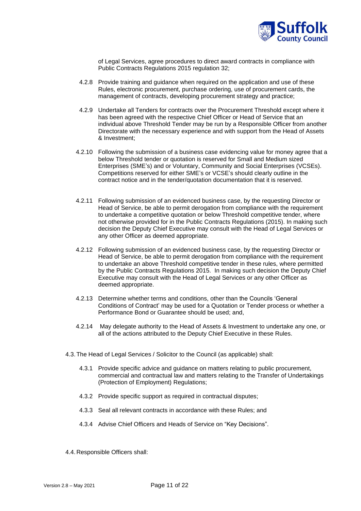

of Legal Services, agree procedures to direct award contracts in compliance with Public Contracts Regulations 2015 regulation 32;

- 4.2.8 Provide training and guidance when required on the application and use of these Rules, electronic procurement, purchase ordering, use of procurement cards, the management of contracts, developing procurement strategy and practice;
- 4.2.9 Undertake all Tenders for contracts over the Procurement Threshold except where it has been agreed with the respective Chief Officer or Head of Service that an individual above Threshold Tender may be run by a Responsible Officer from another Directorate with the necessary experience and with support from the Head of Assets & Investment;
- 4.2.10 Following the submission of a business case evidencing value for money agree that a below Threshold tender or quotation is reserved for Small and Medium sized Enterprises (SME's) and or Voluntary, Community and Social Enterprises (VCSEs). Competitions reserved for either SME's or VCSE's should clearly outline in the contract notice and in the tender/quotation documentation that it is reserved.
- 4.2.11 Following submission of an evidenced business case, by the requesting Director or Head of Service, be able to permit derogation from compliance with the requirement to undertake a competitive quotation or below Threshold competitive tender, where not otherwise provided for in the Public Contracts Regulations (2015). In making such decision the Deputy Chief Executive may consult with the Head of Legal Services or any other Officer as deemed appropriate.
- 4.2.12 Following submission of an evidenced business case, by the requesting Director or Head of Service, be able to permit derogation from compliance with the requirement to undertake an above Threshold competitive tender in these rules, where permitted by the Public Contracts Regulations 2015. In making such decision the Deputy Chief Executive may consult with the Head of Legal Services or any other Officer as deemed appropriate.
- 4.2.13 Determine whether terms and conditions, other than the Councils 'General Conditions of Contract' may be used for a Quotation or Tender process or whether a Performance Bond or Guarantee should be used; and,
- 4.2.14 May delegate authority to the Head of Assets & Investment to undertake any one, or all of the actions attributed to the Deputy Chief Executive in these Rules.
- 4.3.The Head of Legal Services / Solicitor to the Council (as applicable) shall:
	- 4.3.1 Provide specific advice and guidance on matters relating to public procurement, commercial and contractual law and matters relating to the Transfer of Undertakings (Protection of Employment) Regulations;
	- 4.3.2 Provide specific support as required in contractual disputes;
	- 4.3.3 Seal all relevant contracts in accordance with these Rules; and
	- 4.3.4 Advise Chief Officers and Heads of Service on "Key Decisions".
- 4.4. Responsible Officers shall: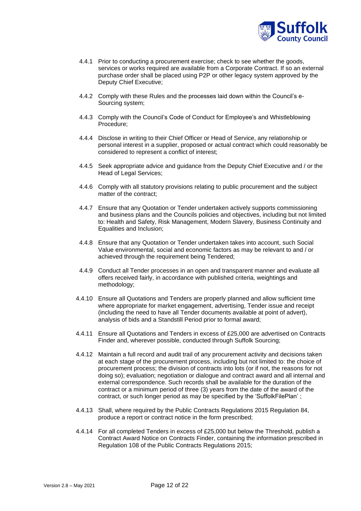

- 4.4.1 Prior to conducting a procurement exercise; check to see whether the goods, services or works required are available from a Corporate Contract. If so an external purchase order shall be placed using P2P or other legacy system approved by the Deputy Chief Executive;
- 4.4.2 Comply with these Rules and the processes laid down within the Council's e-Sourcing system;
- 4.4.3 Comply with the Council's Code of Conduct for Employee's and Whistleblowing Procedure;
- 4.4.4 Disclose in writing to their Chief Officer or Head of Service, any relationship or personal interest in a supplier, proposed or actual contract which could reasonably be considered to represent a conflict of interest;
- 4.4.5 Seek appropriate advice and guidance from the Deputy Chief Executive and / or the Head of Legal Services;
- 4.4.6 Comply with all statutory provisions relating to public procurement and the subject matter of the contract;
- 4.4.7 Ensure that any Quotation or Tender undertaken actively supports commissioning and business plans and the Councils policies and objectives, including but not limited to: Health and Safety, Risk Management, Modern Slavery, Business Continuity and Equalities and Inclusion;
- 4.4.8 Ensure that any Quotation or Tender undertaken takes into account, such Social Value environmental, social and economic factors as may be relevant to and / or achieved through the requirement being Tendered;
- 4.4.9 Conduct all Tender processes in an open and transparent manner and evaluate all offers received fairly, in accordance with published criteria, weightings and methodology;
- 4.4.10 Ensure all Quotations and Tenders are properly planned and allow sufficient time where appropriate for market engagement, advertising, Tender issue and receipt (including the need to have all Tender documents available at point of advert), analysis of bids and a Standstill Period prior to formal award;
- 4.4.11 Ensure all Quotations and Tenders in excess of £25,000 are advertised on Contracts Finder and, wherever possible, conducted through Suffolk Sourcing;
- 4.4.12 Maintain a full record and audit trail of any procurement activity and decisions taken at each stage of the procurement process, including but not limited to: the choice of procurement process; the division of contracts into lots (or if not, the reasons for not doing so); evaluation; negotiation or dialogue and contract award and all internal and external correspondence. Such records shall be available for the duration of the contract or a minimum period of three (3) years from the date of the award of the contract, or such longer period as may be specified by the 'SuffolkFilePlan' ;
- 4.4.13 Shall, where required by the Public Contracts Regulations 2015 Regulation 84, produce a report or contract notice in the form prescribed;
- 4.4.14 For all completed Tenders in excess of £25,000 but below the Threshold, publish a Contract Award Notice on Contracts Finder, containing the information prescribed in Regulation 108 of the Public Contracts Regulations 2015;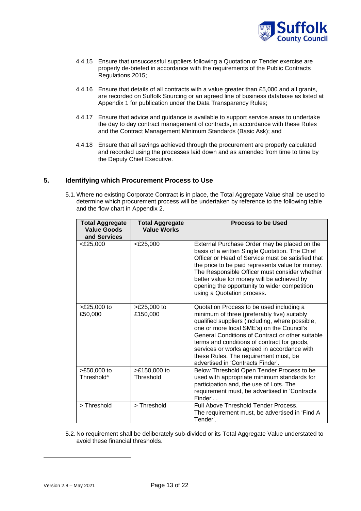

- 4.4.15 Ensure that unsuccessful suppliers following a Quotation or Tender exercise are properly de-briefed in accordance with the requirements of the Public Contracts Regulations 2015;
- 4.4.16 Ensure that details of all contracts with a value greater than £5,000 and all grants, are recorded on Suffolk Sourcing or an agreed line of business database as listed at Appendix 1 for publication under the Data Transparency Rules;
- 4.4.17 Ensure that advice and guidance is available to support service areas to undertake the day to day contract management of contracts, in accordance with these Rules and the Contract Management Minimum Standards (Basic Ask); and
- 4.4.18 Ensure that all savings achieved through the procurement are properly calculated and recorded using the processes laid down and as amended from time to time by the Deputy Chief Executive.

# <span id="page-12-0"></span>**5. Identifying which Procurement Process to Use**

5.1.Where no existing Corporate Contract is in place, the Total Aggregate Value shall be used to determine which procurement process will be undertaken by reference to the following table and the flow chart in Appendix 2.

| <b>Total Aggregate</b><br><b>Value Goods</b><br>and Services | <b>Total Aggregate</b><br><b>Value Works</b> | <b>Process to be Used</b>                                                                                                                                                                                                                                                                                                                                                                                               |
|--------------------------------------------------------------|----------------------------------------------|-------------------------------------------------------------------------------------------------------------------------------------------------------------------------------------------------------------------------------------------------------------------------------------------------------------------------------------------------------------------------------------------------------------------------|
| $<$ £25,000                                                  | $<$ £25,000                                  | External Purchase Order may be placed on the<br>basis of a written Single Quotation. The Chief<br>Officer or Head of Service must be satisfied that<br>the price to be paid represents value for money.<br>The Responsible Officer must consider whether<br>better value for money will be achieved by<br>opening the opportunity to wider competition<br>using a Quotation process.                                    |
| >£25,000 to<br>£50,000                                       | $>E25,000$ to<br>£150,000                    | Quotation Process to be used including a<br>minimum of three (preferably five) suitably<br>qualified suppliers (including, where possible,<br>one or more local SME's) on the Council's<br>General Conditions of Contract or other suitable<br>terms and conditions of contract for goods,<br>services or works agreed in accordance with<br>these Rules. The requirement must, be<br>advertised in 'Contracts Finder'. |
| >£50,000 to<br>Threshold <sup>4</sup>                        | $>E150,000$ to<br>Threshold                  | Below Threshold Open Tender Process to be<br>used with appropriate minimum standards for<br>participation and, the use of Lots. The<br>requirement must, be advertised in 'Contracts<br>Finder'                                                                                                                                                                                                                         |
| > Threshold                                                  | > Threshold                                  | Full Above Threshold Tender Process.<br>The requirement must, be advertised in 'Find A<br>Tender'.                                                                                                                                                                                                                                                                                                                      |

5.2. No requirement shall be deliberately sub-divided or its Total Aggregate Value understated to avoid these financial thresholds.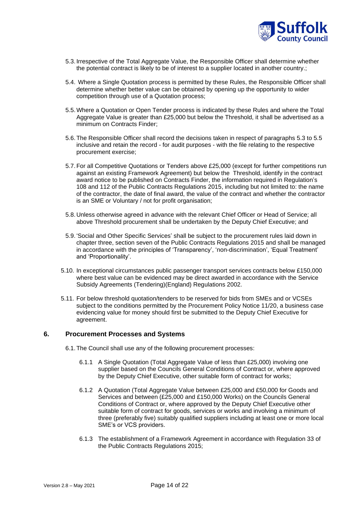

- 5.3. Irrespective of the Total Aggregate Value, the Responsible Officer shall determine whether the potential contract is likely to be of interest to a supplier located in another country.;
- 5.4. Where a Single Quotation process is permitted by these Rules, the Responsible Officer shall determine whether better value can be obtained by opening up the opportunity to wider competition through use of a Quotation process;
- 5.5.Where a Quotation or Open Tender process is indicated by these Rules and where the Total Aggregate Value is greater than £25,000 but below the Threshold, it shall be advertised as a minimum on Contracts Finder;
- 5.6.The Responsible Officer shall record the decisions taken in respect of paragraphs 5.3 to 5.5 inclusive and retain the record - for audit purposes - with the file relating to the respective procurement exercise;
- 5.7.For all Competitive Quotations or Tenders above £25,000 (except for further competitions run against an existing Framework Agreement) but below the Threshold, identify in the contract award notice to be published on Contracts Finder, the information required in Regulation's 108 and 112 of the Public Contracts Regulations 2015, including but not limited to: the name of the contractor, the date of final award, the value of the contract and whether the contractor is an SME or Voluntary / not for profit organisation;
- 5.8. Unless otherwise agreed in advance with the relevant Chief Officer or Head of Service; all above Threshold procurement shall be undertaken by the Deputy Chief Executive; and
- 5.9. 'Social and Other Specific Services' shall be subject to the procurement rules laid down in chapter three, section seven of the Public Contracts Regulations 2015 and shall be managed in accordance with the principles of 'Transparency', 'non-discrimination', 'Equal Treatment' and 'Proportionality'.
- 5.10. In exceptional circumstances public passenger transport services contracts below £150,000 where best value can be evidenced may be direct awarded in accordance with the Service Subsidy Agreements (Tendering)(England) Regulations 2002.
- 5.11. For below threshold quotation/tenders to be reserved for bids from SMEs and or VCSEs subject to the conditions permitted by the Procurement Policy Notice 11/20, a business case evidencing value for money should first be submitted to the Deputy Chief Executive for agreement.

# <span id="page-13-0"></span>**6. Procurement Processes and Systems**

- 6.1.The Council shall use any of the following procurement processes:
	- 6.1.1 A Single Quotation (Total Aggregate Value of less than £25,000) involving one supplier based on the Councils General Conditions of Contract or, where approved by the Deputy Chief Executive, other suitable form of contract for works;
	- 6.1.2 A Quotation (Total Aggregate Value between £25,000 and £50,000 for Goods and Services and between (£25,000 and £150,000 Works) on the Councils General Conditions of Contract or, where approved by the Deputy Chief Executive other suitable form of contract for goods, services or works and involving a minimum of three (preferably five) suitably qualified suppliers including at least one or more local SME's or VCS providers.
	- 6.1.3 The establishment of a Framework Agreement in accordance with Regulation 33 of the Public Contracts Regulations 2015;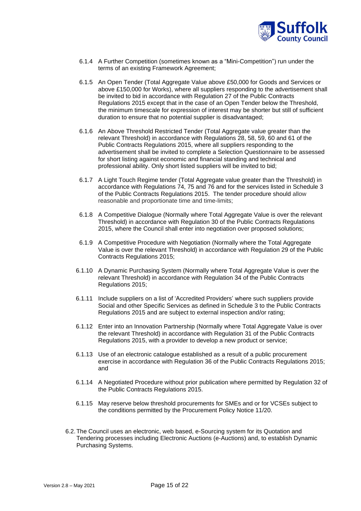

- 6.1.4 A Further Competition (sometimes known as a "Mini-Competition") run under the terms of an existing Framework Agreement;
- 6.1.5 An Open Tender (Total Aggregate Value above £50,000 for Goods and Services or above £150,000 for Works), where all suppliers responding to the advertisement shall be invited to bid in accordance with Regulation 27 of the Public Contracts Regulations 2015 except that in the case of an Open Tender below the Threshold, the minimum timescale for expression of interest may be shorter but still of sufficient duration to ensure that no potential supplier is disadvantaged;
- 6.1.6 An Above Threshold Restricted Tender (Total Aggregate value greater than the relevant Threshold) in accordance with Regulations 28, 58, 59, 60 and 61 of the Public Contracts Regulations 2015, where all suppliers responding to the advertisement shall be invited to complete a Selection Questionnaire to be assessed for short listing against economic and financial standing and technical and professional ability. Only short listed suppliers will be invited to bid;
- 6.1.7 A Light Touch Regime tender (Total Aggregate value greater than the Threshold) in accordance with Regulations 74, 75 and 76 and for the services listed in Schedule 3 of the Public Contracts Regulations 2015. The tender procedure should allow reasonable and proportionate time and time-limits;
- 6.1.8 A Competitive Dialogue (Normally where Total Aggregate Value is over the relevant Threshold) in accordance with Regulation 30 of the Public Contracts Regulations 2015, where the Council shall enter into negotiation over proposed solutions;
- 6.1.9 A Competitive Procedure with Negotiation (Normally where the Total Aggregate Value is over the relevant Threshold) in accordance with Regulation 29 of the Public Contracts Regulations 2015;
- 6.1.10 A Dynamic Purchasing System (Normally where Total Aggregate Value is over the relevant Threshold) in accordance with Regulation 34 of the Public Contracts Regulations 2015;
- 6.1.11 Include suppliers on a list of 'Accredited Providers' where such suppliers provide Social and other Specific Services as defined in Schedule 3 to the Public Contracts Regulations 2015 and are subject to external inspection and/or rating;
- 6.1.12 Enter into an Innovation Partnership (Normally where Total Aggregate Value is over the relevant Threshold) in accordance with Regulation 31 of the Public Contracts Regulations 2015, with a provider to develop a new product or service;
- 6.1.13 Use of an electronic catalogue established as a result of a public procurement exercise in accordance with Regulation 36 of the Public Contracts Regulations 2015; and
- 6.1.14 A Negotiated Procedure without prior publication where permitted by Regulation 32 of the Public Contracts Regulations 2015.
- 6.1.15 May reserve below threshold procurements for SMEs and or for VCSEs subject to the conditions permitted by the Procurement Policy Notice 11/20.
- 6.2.The Council uses an electronic, web based, e-Sourcing system for its Quotation and Tendering processes including Electronic Auctions (e-Auctions) and, to establish Dynamic Purchasing Systems.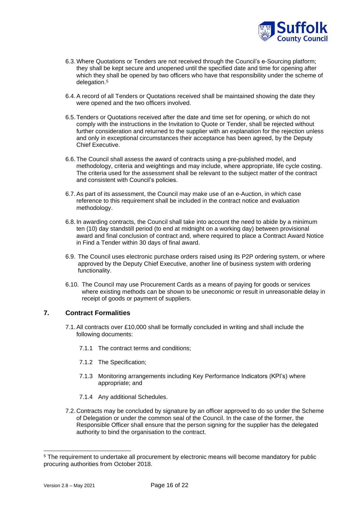

- 6.3.Where Quotations or Tenders are not received through the Council's e-Sourcing platform; they shall be kept secure and unopened until the specified date and time for opening after which they shall be opened by two officers who have that responsibility under the scheme of delegation.<sup>5</sup>
- 6.4.A record of all Tenders or Quotations received shall be maintained showing the date they were opened and the two officers involved.
- 6.5.Tenders or Quotations received after the date and time set for opening, or which do not comply with the instructions in the Invitation to Quote or Tender, shall be rejected without further consideration and returned to the supplier with an explanation for the rejection unless and only in exceptional circumstances their acceptance has been agreed, by the Deputy Chief Executive.
- 6.6.The Council shall assess the award of contracts using a pre-published model, and methodology, criteria and weightings and may include, where appropriate, life cycle costing. The criteria used for the assessment shall be relevant to the subject matter of the contract and consistent with Council's policies.
- 6.7.As part of its assessment, the Council may make use of an e-Auction, in which case reference to this requirement shall be included in the contract notice and evaluation methodology.
- 6.8. In awarding contracts, the Council shall take into account the need to abide by a minimum ten (10) day standstill period (to end at midnight on a working day) between provisional award and final conclusion of contract and, where required to place a Contract Award Notice in Find a Tender within 30 days of final award.
- 6.9. The Council uses electronic purchase orders raised using its P2P ordering system, or where approved by the Deputy Chief Executive, another line of business system with ordering functionality.
- 6.10. The Council may use Procurement Cards as a means of paying for goods or services where existing methods can be shown to be uneconomic or result in unreasonable delay in receipt of goods or payment of suppliers.

# <span id="page-15-0"></span>**7. Contract Formalities**

- 7.1.All contracts over £10,000 shall be formally concluded in writing and shall include the following documents:
	- 7.1.1 The contract terms and conditions;
	- 7.1.2 The Specification;
	- 7.1.3 Monitoring arrangements including Key Performance Indicators (KPI's) where appropriate; and
	- 7.1.4 Any additional Schedules.
- 7.2. Contracts may be concluded by signature by an officer approved to do so under the Scheme of Delegation or under the common seal of the Council. In the case of the former, the Responsible Officer shall ensure that the person signing for the supplier has the delegated authority to bind the organisation to the contract.

<sup>5</sup> The requirement to undertake all procurement by electronic means will become mandatory for public procuring authorities from October 2018.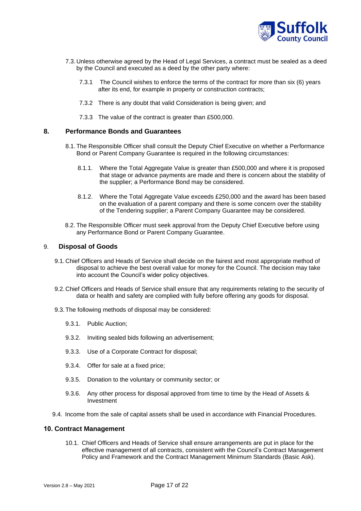

- 7.3. Unless otherwise agreed by the Head of Legal Services, a contract must be sealed as a deed by the Council and executed as a deed by the other party where:
	- 7.3.1 The Council wishes to enforce the terms of the contract for more than six (6) years after its end, for example in property or construction contracts;
	- 7.3.2 There is any doubt that valid Consideration is being given; and
	- 7.3.3 The value of the contract is greater than £500,000.

## <span id="page-16-0"></span>**8. Performance Bonds and Guarantees**

- 8.1.The Responsible Officer shall consult the Deputy Chief Executive on whether a Performance Bond or Parent Company Guarantee is required in the following circumstances:
	- 8.1.1. Where the Total Aggregate Value is greater than £500,000 and where it is proposed that stage or advance payments are made and there is concern about the stability of the supplier; a Performance Bond may be considered.
	- 8.1.2. Where the Total Aggregate Value exceeds £250,000 and the award has been based on the evaluation of a parent company and there is some concern over the stability of the Tendering supplier; a Parent Company Guarantee may be considered.
- 8.2. The Responsible Officer must seek approval from the Deputy Chief Executive before using any Performance Bond or Parent Company Guarantee.

## <span id="page-16-1"></span>9. **Disposal of Goods**

- 9.1.Chief Officers and Heads of Service shall decide on the fairest and most appropriate method of disposal to achieve the best overall value for money for the Council. The decision may take into account the Council's wider policy objectives.
- 9.2.Chief Officers and Heads of Service shall ensure that any requirements relating to the security of data or health and safety are complied with fully before offering any goods for disposal.
- 9.3.The following methods of disposal may be considered:
	- 9.3.1. Public Auction;
	- 9.3.2. Inviting sealed bids following an advertisement;
	- 9.3.3. Use of a Corporate Contract for disposal;
	- 9.3.4. Offer for sale at a fixed price;
	- 9.3.5. Donation to the voluntary or community sector; or
	- 9.3.6. Any other process for disposal approved from time to time by the Head of Assets & Investment
- 9.4. Income from the sale of capital assets shall be used in accordance with Financial Procedures.

#### <span id="page-16-2"></span>**10. Contract Management**

10.1. Chief Officers and Heads of Service shall ensure arrangements are put in place for the effective management of all contracts, consistent with the Council's Contract Management Policy and Framework and the Contract Management Minimum Standards (Basic Ask).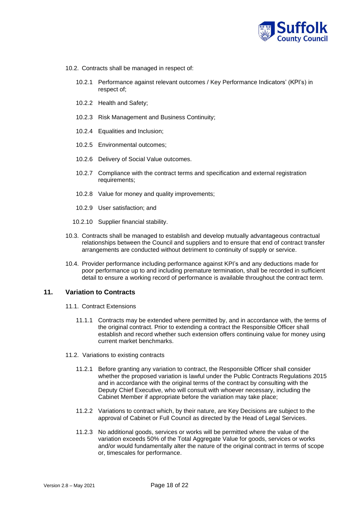

- 10.2. Contracts shall be managed in respect of:
	- 10.2.1 Performance against relevant outcomes / Key Performance Indicators' (KPI's) in respect of;
	- 10.2.2 Health and Safety;
	- 10.2.3 Risk Management and Business Continuity;
	- 10.2.4 Equalities and Inclusion;
	- 10.2.5 Environmental outcomes;
	- 10.2.6 Delivery of Social Value outcomes.
	- 10.2.7 Compliance with the contract terms and specification and external registration requirements;
	- 10.2.8 Value for money and quality improvements;
	- 10.2.9 User satisfaction; and
	- 10.2.10 Supplier financial stability.
- 10.3. Contracts shall be managed to establish and develop mutually advantageous contractual relationships between the Council and suppliers and to ensure that end of contract transfer arrangements are conducted without detriment to continuity of supply or service.
- 10.4. Provider performance including performance against KPI's and any deductions made for poor performance up to and including premature termination, shall be recorded in sufficient detail to ensure a working record of performance is available throughout the contract term.

## <span id="page-17-0"></span>**11. Variation to Contracts**

- 11.1. Contract Extensions
	- 11.1.1 Contracts may be extended where permitted by, and in accordance with, the terms of the original contract. Prior to extending a contract the Responsible Officer shall establish and record whether such extension offers continuing value for money using current market benchmarks.
- 11.2. Variations to existing contracts
	- 11.2.1 Before granting any variation to contract, the Responsible Officer shall consider whether the proposed variation is lawful under the Public Contracts Regulations 2015 and in accordance with the original terms of the contract by consulting with the Deputy Chief Executive, who will consult with whoever necessary, including the Cabinet Member if appropriate before the variation may take place;
	- 11.2.2 Variations to contract which, by their nature, are Key Decisions are subject to the approval of Cabinet or Full Council as directed by the Head of Legal Services.
	- 11.2.3 No additional goods, services or works will be permitted where the value of the variation exceeds 50% of the Total Aggregate Value for goods, services or works and/or would fundamentally alter the nature of the original contract in terms of scope or, timescales for performance.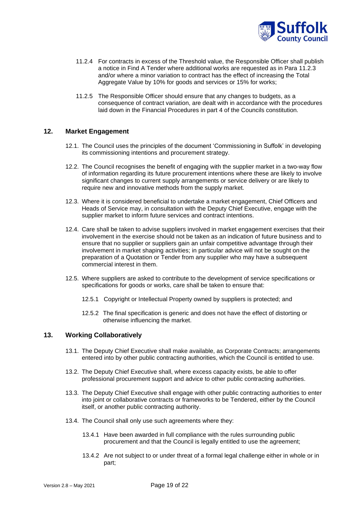

- 11.2.4 For contracts in excess of the Threshold value, the Responsible Officer shall publish a notice in Find A Tender where additional works are requested as in Para 11.2.3 and/or where a minor variation to contract has the effect of increasing the Total Aggregate Value by 10% for goods and services or 15% for works;
- 11.2.5 The Responsible Officer should ensure that any changes to budgets, as a consequence of contract variation, are dealt with in accordance with the procedures laid down in the Financial Procedures in part 4 of the Councils constitution.

# <span id="page-18-0"></span>**12. Market Engagement**

- 12.1. The Council uses the principles of the document 'Commissioning in Suffolk' in developing its commissioning intentions and procurement strategy.
- 12.2. The Council recognises the benefit of engaging with the supplier market in a two-way flow of information regarding its future procurement intentions where these are likely to involve significant changes to current supply arrangements or service delivery or are likely to require new and innovative methods from the supply market.
- 12.3. Where it is considered beneficial to undertake a market engagement, Chief Officers and Heads of Service may, in consultation with the Deputy Chief Executive, engage with the supplier market to inform future services and contract intentions.
- 12.4. Care shall be taken to advise suppliers involved in market engagement exercises that their involvement in the exercise should not be taken as an indication of future business and to ensure that no supplier or suppliers gain an unfair competitive advantage through their involvement in market shaping activities; in particular advice will not be sought on the preparation of a Quotation or Tender from any supplier who may have a subsequent commercial interest in them.
- 12.5. Where suppliers are asked to contribute to the development of service specifications or specifications for goods or works, care shall be taken to ensure that:
	- 12.5.1 Copyright or Intellectual Property owned by suppliers is protected; and
	- 12.5.2 The final specification is generic and does not have the effect of distorting or otherwise influencing the market.

# <span id="page-18-1"></span>**13. Working Collaboratively**

- 13.1. The Deputy Chief Executive shall make available, as Corporate Contracts; arrangements entered into by other public contracting authorities, which the Council is entitled to use.
- 13.2. The Deputy Chief Executive shall, where excess capacity exists, be able to offer professional procurement support and advice to other public contracting authorities.
- 13.3. The Deputy Chief Executive shall engage with other public contracting authorities to enter into joint or collaborative contracts or frameworks to be Tendered, either by the Council itself, or another public contracting authority.
- 13.4. The Council shall only use such agreements where they:
	- 13.4.1 Have been awarded in full compliance with the rules surrounding public procurement and that the Council is legally entitled to use the agreement;
	- 13.4.2 Are not subject to or under threat of a formal legal challenge either in whole or in part;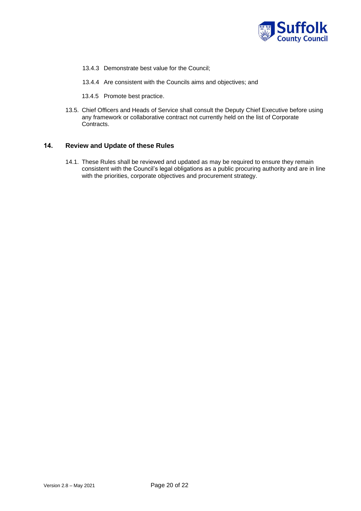

- 13.4.3 Demonstrate best value for the Council;
- 13.4.4 Are consistent with the Councils aims and objectives; and
- 13.4.5 Promote best practice.
- 13.5. Chief Officers and Heads of Service shall consult the Deputy Chief Executive before using any framework or collaborative contract not currently held on the list of Corporate Contracts.

# <span id="page-19-0"></span>**14. Review and Update of these Rules**

14.1. These Rules shall be reviewed and updated as may be required to ensure they remain consistent with the Council's legal obligations as a public procuring authority and are in line with the priorities, corporate objectives and procurement strategy.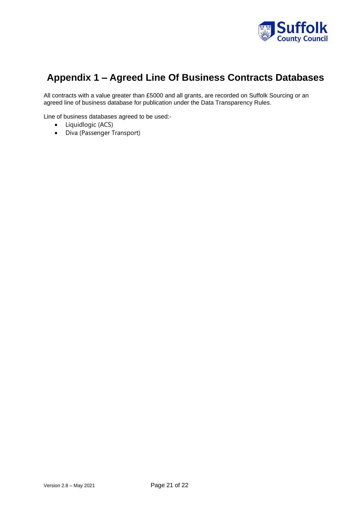

# **Appendix 1 – Agreed Line Of Business Contracts Databases**

All contracts with a value greater than £5000 and all grants, are recorded on Suffolk Sourcing or an agreed line of business database for publication under the Data Transparency Rules.

Line of business databases agreed to be used:-

- Liquidlogic (ACS)
- Diva (Passenger Transport)